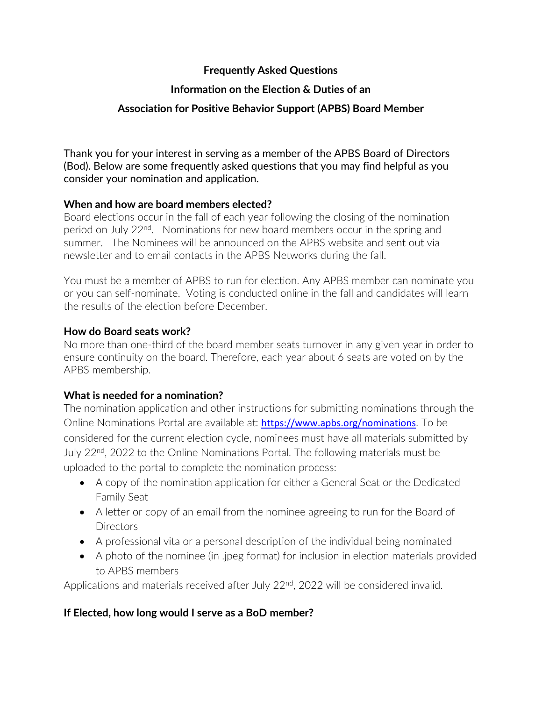# **Frequently Asked Questions**

# **Information on the Election & Duties of an**

# **Association for Positive Behavior Support (APBS) Board Member**

Thank you for your interest in serving as a member of the APBS Board of Directors (Bod). Below are some frequently asked questions that you may find helpful as you consider your nomination and application.

## **When and how are board members elected?**

Board elections occur in the fall of each year following the closing of the nomination period on July 22nd. Nominations for new board members occur in the spring and summer. The Nominees will be announced on the APBS website and sent out via newsletter and to email contacts in the APBS Networks during the fall.

You must be a member of APBS to run for election. Any APBS member can nominate you or you can self-nominate. Voting is conducted online in the fall and candidates will learn the results of the election before December.

#### **How do Board seats work?**

No more than one-third of the board member seats turnover in any given year in order to ensure continuity on the board. Therefore, each year about 6 seats are voted on by the APBS membership.

## **What is needed for a nomination?**

The nomination application and other instructions for submitting nominations through the Online Nominations Portal are available at: <https://www.apbs.org/nominations>. To be considered for the current election cycle, nominees must have all materials submitted by July 22nd, 2022 to the Online Nominations Portal. The following materials must be uploaded to the portal to complete the nomination process:

- A copy of the nomination application for either a General Seat or the Dedicated Family Seat
- A letter or copy of an email from the nominee agreeing to run for the Board of **Directors**
- A professional vita or a personal description of the individual being nominated
- A photo of the nominee (in .jpeg format) for inclusion in election materials provided to APBS members

Applications and materials received after July 22<sup>nd</sup>, 2022 will be considered invalid.

## **If Elected, how long would I serve as a BoD member?**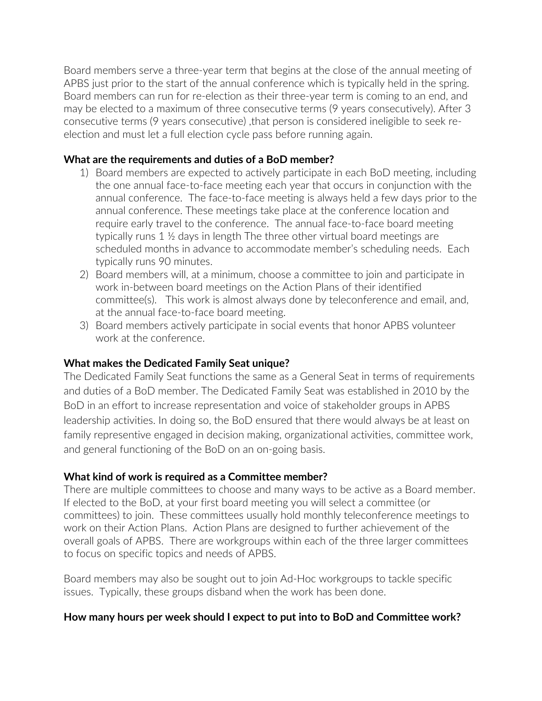Board members serve a three-year term that begins at the close of the annual meeting of APBS just prior to the start of the annual conference which is typically held in the spring. Board members can run for re-election as their three-year term is coming to an end, and may be elected to a maximum of three consecutive terms (9 years consecutively). After 3 consecutive terms (9 years consecutive) ,that person is considered ineligible to seek reelection and must let a full election cycle pass before running again.

## **What are the requirements and duties of a BoD member?**

- 1) Board members are expected to actively participate in each BoD meeting, including the one annual face-to-face meeting each year that occurs in conjunction with the annual conference. The face-to-face meeting is always held a few days prior to the annual conference. These meetings take place at the conference location and require early travel to the conference. The annual face-to-face board meeting typically runs 1 ½ days in length The three other virtual board meetings are scheduled months in advance to accommodate member's scheduling needs. Each typically runs 90 minutes.
- 2) Board members will, at a minimum, choose a committee to join and participate in work in-between board meetings on the Action Plans of their identified committee(s). This work is almost always done by teleconference and email, and, at the annual face-to-face board meeting.
- 3) Board members actively participate in social events that honor APBS volunteer work at the conference.

## **What makes the Dedicated Family Seat unique?**

The Dedicated Family Seat functions the same as a General Seat in terms of requirements and duties of a BoD member. The Dedicated Family Seat was established in 2010 by the BoD in an effort to increase representation and voice of stakeholder groups in APBS leadership activities. In doing so, the BoD ensured that there would always be at least on family representive engaged in decision making, organizational activities, committee work, and general functioning of the BoD on an on-going basis.

## **What kind of work is required as a Committee member?**

There are multiple committees to choose and many ways to be active as a Board member. If elected to the BoD, at your first board meeting you will select a committee (or committees) to join. These committees usually hold monthly teleconference meetings to work on their Action Plans. Action Plans are designed to further achievement of the overall goals of APBS. There are workgroups within each of the three larger committees to focus on specific topics and needs of APBS.

Board members may also be sought out to join Ad-Hoc workgroups to tackle specific issues. Typically, these groups disband when the work has been done.

## **How many hours per week should I expect to put into to BoD and Committee work?**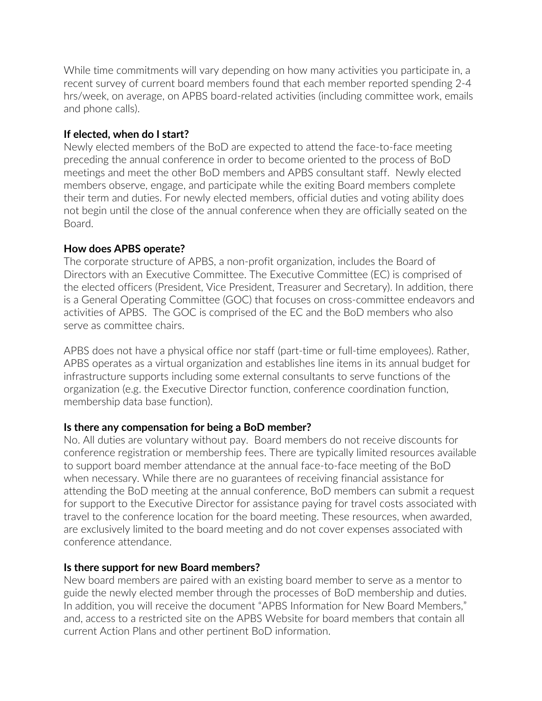While time commitments will vary depending on how many activities you participate in, a recent survey of current board members found that each member reported spending 2-4 hrs/week, on average, on APBS board-related activities (including committee work, emails and phone calls).

#### **If elected, when do I start?**

Newly elected members of the BoD are expected to attend the face-to-face meeting preceding the annual conference in order to become oriented to the process of BoD meetings and meet the other BoD members and APBS consultant staff. Newly elected members observe, engage, and participate while the exiting Board members complete their term and duties. For newly elected members, official duties and voting ability does not begin until the close of the annual conference when they are officially seated on the Board.

#### **How does APBS operate?**

The corporate structure of APBS, a non-profit organization, includes the Board of Directors with an Executive Committee. The Executive Committee (EC) is comprised of the elected officers (President, Vice President, Treasurer and Secretary). In addition, there is a General Operating Committee (GOC) that focuses on cross-committee endeavors and activities of APBS. The GOC is comprised of the EC and the BoD members who also serve as committee chairs.

APBS does not have a physical office nor staff (part-time or full-time employees). Rather, APBS operates as a virtual organization and establishes line items in its annual budget for infrastructure supports including some external consultants to serve functions of the organization (e.g. the Executive Director function, conference coordination function, membership data base function).

## **Is there any compensation for being a BoD member?**

No. All duties are voluntary without pay. Board members do not receive discounts for conference registration or membership fees. There are typically limited resources available to support board member attendance at the annual face-to-face meeting of the BoD when necessary. While there are no guarantees of receiving financial assistance for attending the BoD meeting at the annual conference, BoD members can submit a request for support to the Executive Director for assistance paying for travel costs associated with travel to the conference location for the board meeting. These resources, when awarded, are exclusively limited to the board meeting and do not cover expenses associated with conference attendance.

## **Is there support for new Board members?**

New board members are paired with an existing board member to serve as a mentor to guide the newly elected member through the processes of BoD membership and duties. In addition, you will receive the document "APBS Information for New Board Members," and, access to a restricted site on the APBS Website for board members that contain all current Action Plans and other pertinent BoD information.